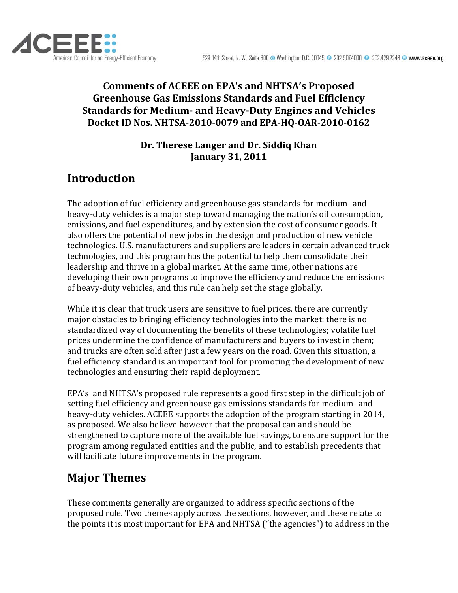

### **Comments of ACEEE on EPA's and NHTSA's Proposed Greenhouse Gas Emissions Standards and Fuel Efficiency Standards for Medium and HeavyDuty Engines and Vehicles Docket ID Nos. NHTSA20100079 and EPAHQOAR20100162**

### **Dr. Therese Langer and Dr. Siddiq Khan January 31, 2011**

# **Introduction**

The adoption of fuel efficiency and greenhouse gas standards for medium‐ and heavy-duty vehicles is a major step toward managing the nation's oil consumption, emissions, and fuel expenditures, and by extension the cost of consumer goods. It also offers the potential of new jobs in the design and production of new vehicle technologies. U.S. manufacturers and suppliers are leaders in certain advanced truck technologies, and this program has the potential to help them consolidate their leadership and thrive in a global market. At the same time, other nations are developing their own programs to improve the efficiency and reduce the emissions of heavy‐duty vehicles, and this rule can help set the stage globally.

While it is clear that truck users are sensitive to fuel prices, there are currently major obstacles to bringing efficiency technologies into the market: there is no standardized way of documenting the benefits of these technologies; volatile fuel prices undermine the confidence of manufacturers and buyers to invest in them; and trucks are often sold after just a few years on the road. Given this situation, a fuel efficiency standard is an important tool for promoting the development of new technologies and ensuring their rapid deployment.

EPA's and NHTSA's proposed rule represents a good first step in the difficult job of setting fuel efficiency and greenhouse gas emissions standards for medium‐ and heavy-duty vehicles. ACEEE supports the adoption of the program starting in 2014, as proposed. We also believe however that the proposal can and should be strengthened to capture more of the available fuel savings, to ensure support for the program among regulated entities and the public, and to establish precedents that will facilitate future improvements in the program.

# **Major Themes**

These comments generally are organized to address specific sections of the proposed rule. Two themes apply across the sections, however, and these relate to the points it is most important for EPA and NHTSA ("the agencies") to address in the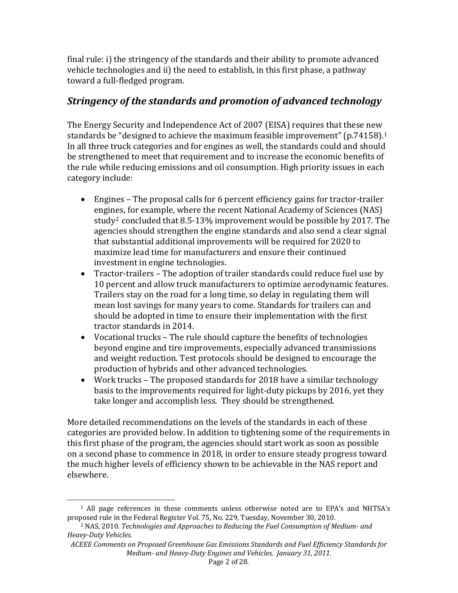final rule: i) the stringency of the standards and their ability to promote advanced vehicle technologies and ii) the need to establish, in this first phase, a pathway toward a full‐fledged program.

### *Stringency of the standards and promotion of advanced technology*

The Energy Security and Independence Act of 2007 (EISA) requires that these new standards be "designed to achieve the maximum feasible improvement" (p.74[1](#page-1-0)58).<sup>1</sup> In all three truck categories and for engines as well, the standards could and should be strengthened to meet that requirement and to increase the economic benefits of he rule while reducing emissions and oil consumption. High priority issues in each t category include:

- Engines The proposal calls for 6 percent efficiency gains for tractor‐trailer engin[e](#page-1-1)s, for example, where the recent National Academy of Sciences (NAS) study2 concluded that 8.5‐13% improvement would be possible by 2017. The agencies should strengthen the engine standards and also send a clear signal that substantial additional improvements will be required for 2020 to maximize lead time for manufacturers and ensure their continued investment in engine technologies.
- Tractor-trailers The adoption of trailer standards could reduce fuel use by 10 percent and allow truck manufacturers to optimize aerodynamic features. Trailers stay on the road for a long time, so delay in regulating them will mean lost savings for many years to come. Standards for trailers can and should be adopted in time to ensure their implementation with the first tractor standards in 2014.
- Vocational trucks The rule should capture the benefits of technologies beyond engine and tire improvements, especially advanced transmissions and weight reduction. Test protocols should be designed to encourage the production of hybrids and other advanced technologies.
- Work trucks The proposed standards for 2018 have a similar technology basis to the improvements required for light‐duty pickups by 2016, yet they take longer and accomplish less. They should be strengthened.

More detailed recommendations on the levels of the standards in each of these categories are provided below. In addition to tightening some of the requirements in this first phase of the program, the agencies should start work as soon as possible on a second phase to commence in 2018, in order to ensure steady progress toward the much higher levels of efficiency shown to be achievable in the NAS report and elsewhere.

<span id="page-1-0"></span> <sup>1</sup> All page references in these comments unless otherwise noted are to EPA's and NHTSA's proposed rule in the Federal Register Vol. 75, No. 229, Tuesday, November 30, 2010.

<span id="page-1-1"></span><sup>2</sup> NAS, 2010. *Technologies and Approaches to Reducing the Fuel Consumption of Medium and HeavyDuty Vehicles.*

*EE Comments on Proposed Greenhouse Gas Emissions Standards and Fuel Efficiency Standards for ACE Medium and HeavyDuty Engines and Vehicles. January 31, 2011.*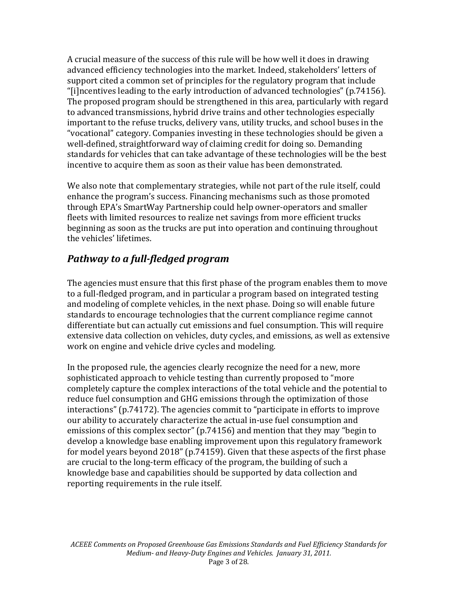A crucial measure of the success of this rule will be how well it does in drawing advanced efficiency technologies into the market. Indeed, stakeholders' letters of support cited a common set of principles for the regulatory program that include "[i]ncentives leading to the early introduction of advanced technologies" (p.74156). The proposed program should be strengthened in this area, particularly with regard to advanced transmissions, hybrid drive trains and other technologies especially important to the refuse trucks, delivery vans, utility trucks, and school buses in the "vocational" category. Companies investing in these technologies should be given a well-defined, straightforward way of claiming credit for doing so. Demanding standards for vehicles that can take advantage of these technologies will be the best incentive to acquire them as soon as their value has been demonstrated.

We also note that complementary strategies, while not part of the rule itself, could enhance the program's success. Financing mechanisms such as those promoted through EPA's SmartWay Partnership could help owner‐operators and smaller fleets with limited resources to realize net savings from more efficient trucks beginning as soon as the trucks are put into operation and continuing throughout the vehicles' lifetimes.

### *Pathway to a fullfledged program*

The agencies must ensure that this first phase of the program enables them to move to a full‐fledged program, and in particular a program based on integrated testing and modeling of complete vehicles, in the next phase. Doing so will enable future standards to encourage technologies that the current compliance regime cannot differentiate but can actually cut emissions and fuel consumption. This will require extensive data collection on vehicles, duty cycles, and emissions, as well as extensive work on engine and vehicle drive cycles and modeling.

In the proposed rule, the agencies clearly recognize the need for a new, more sophisticated approach to vehicle testing than currently proposed to "more completely capture the complex interactions of the total vehicle and the potential to reduce fuel consumption and GHG emissions through the optimization of those interactions" (p.74172). The agencies commit to "participate in efforts to improve our ability to accurately characterize the actual in‐use fuel consumption and emissions of this complex sector" (p.74156) and mention that they may "begin to develop a knowledge base enabling improvement upon this regulatory framework for model years beyond 2018" (p.74159). Given that these aspects of the first phase are crucial to the long‐term efficacy of the program, the building of such a knowledge base and capabilities should be supported by data collection and reporting requirements in the rule itself.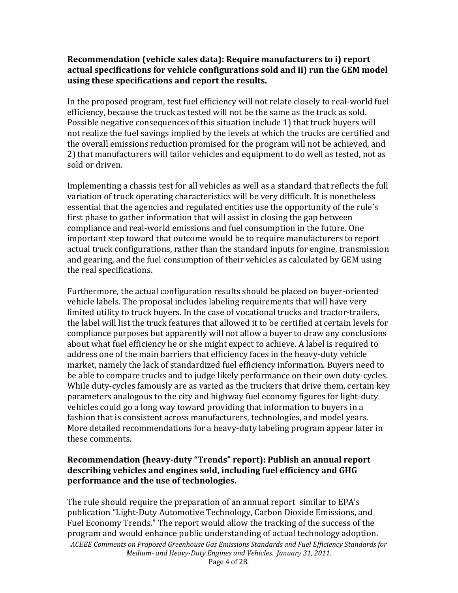### **Recommendation (vehicle sales data): Require manufacturers to i) report actual specifications for vehicle configurations sold and ii) run the GEM model using these specifications and report the results.**

In the proposed program, test fuel efficiency will not relate closely to real‐world fuel efficiency, because the truck as tested will not be the same as the truck as sold. Possible negative consequences of this situation include 1) that truck buyers will not realize the fuel savings implied by the levels at which the trucks are certified and the overall emissions reduction promised for the program will not be achieved, and 2) that manufacturers will tailor vehicles and equipment to do well as tested, not as sold or driven.

Implementing a chassis test for all vehicles as well as a standard that reflects the full variation of truck operating characteristics will be very difficult. It is nonetheless essential that the agencies and regulated entities use the opportunity of the rule's first phase to gather information that will assist in closing the gap between compliance and real‐world emissions and fuel consumption in the future. One important step toward that outcome would be to require manufacturers to report actual truck configurations, rather than the standard inputs for engine, transmission and gearing, and the fuel consumption of their vehicles as calculated by GEM using the real specifications.

Furthermore, the actual configuration results should be placed on buyer‐oriented vehicle labels. The proposal includes labeling requirements that will have very limited utility to truck buyers. In the case of vocational trucks and tractor‐trailers, the label will list the truck features that allowed it to be certified at certain levels for compliance purposes but apparently will not allow a buyer to draw any conclusions about what fuel efficiency he or she might expect to achieve. A label is required to address one of the main barriers that efficiency faces in the heavy‐duty vehicle market, namely the lack of standardized fuel efficiency information. Buyers need to be able to compare trucks and to judge likely performance on their own duty-cycles. While duty-cycles famously are as varied as the truckers that drive them, certain key parameters analogous to the city and highway fuel economy figures for light‐duty vehicles could go a long way toward providing that information to buyers in a fashion that is consistent across manufacturers, technologies, and model years. More detailed recommendations for a heavy-duty labeling program appear later in hese comments. t

### **performance and the use of technologies. Recommendation (heavyduty "Trends" report): Publish an annual report describing vehicles and engines sold, including fuel efficiency and GHG**

*ACEEE Comments on Proposed Greenhouse Gas Emissions Standards and Fuel Efficiency Standards f or Medium and HeavyDuty Engines and Vehicles. January 31, 2011.*  The rule should require the preparation of an annual report similar to EPA's publication "Light‐Duty Automotive Technology, Carbon Dioxide Emissions, and Fuel Economy Trends." The report would allow the tracking of the success of the program and would enhance public understanding of actual technology adoption.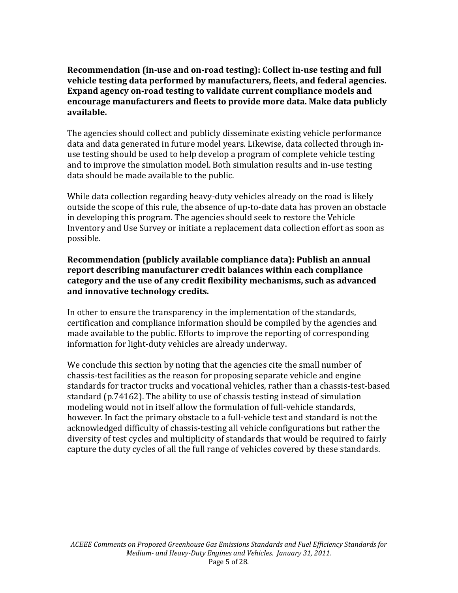**Recommendation (inuse and onroad testing): Collect inuse testing and full vehicle testing data performed by manufacturers, fleets, and federal agencies. Expand agency onroad testing to validate current compliance models and encourage manufacturers and fleets to provide more data. Make data publicly available.**

The agencies should collect and publicly disseminate existing vehicle performance data and data generated in future model years. Likewise, data collected through in‐ use testing should be used to help develop a program of complete vehicle testing and to improve the simulation model. Both simulation results and in‐use testing data should be made available to the public.

While data collection regarding heavy-duty vehicles already on the road is likely outside the scope of this rule, the absence of up‐to‐date data has proven an obstacle in developing this program. The agencies should seek to restore the Vehicle nventory and Use Survey or initiate a replacement data collection effort as soon as I possible.

### **Recommendation (publicly available compliance data): Publish an annual report describing manufacturer credit balances within each compliance category and the use of any credit flexibility mechanisms, such as advanced and innovative technology credits.**

In other to ensure the transparency in the implementation of the standards, certification and compliance information should be compiled by the agencies and made available to the public. Efforts to improve the reporting of corresponding information for light‐duty vehicles are already underway.

We conclude this section by noting that the agencies cite the small number of chassis‐test facilities as the reason for proposing separate vehicle and engine standards for tractor trucks and vocational vehicles, rather than a chassis‐test‐based standard (p.74162). The ability to use of chassis testing instead of simulation modeling would not in itself allow the formulation of full‐vehicle standards, however. In fact the primary obstacle to a full‐vehicle test and standard is not the acknowledged difficulty of chassis‐testing all vehicle configurations but rather the diversity of test cycles and multiplicity of standards that would be required to fairly capture the duty cycles of all the full range of vehicles covered by these standards.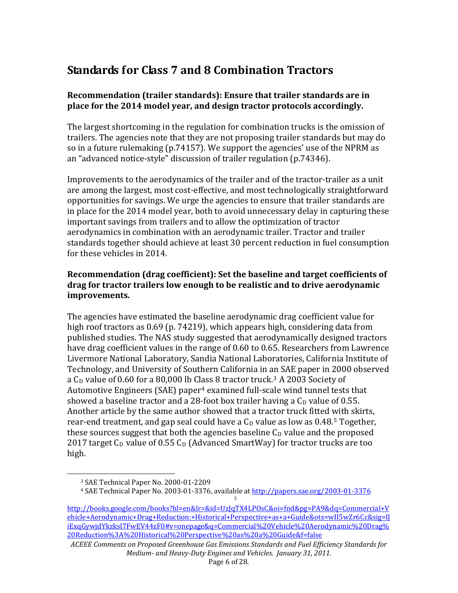## **Standards for Class 7 and 8 Combination Tractors**

### **Recommendation (trailer standards): Ensure that trailer standards are in place for the 2014 model year, and design tractor protocols accordingly.**

The largest shortcoming in the regulation for combination trucks is the omission of trailers. The agencies note that they are not proposing trailer standards but may do so in a future rulemaking (p.74157). We support the agencies' use of the NPRM as an "advanced notice‐style" discussion of trailer regulation (p.74346).

Improvements to the aerodynamics of the trailer and of the tractor-trailer as a unit are among the largest, most cost‐effective, and most technologically straightforward opportunities for savings. We urge the agencies to ensure that trailer standards are in place for the 2014 model year, both to avoid unnecessary delay in capturing these important savings from trailers and to allow the optimization of tractor aerodynamics in combination with an aerodynamic trailer. Tractor and trailer tandards together should achieve at least 30 percent reduction in fuel consumption s for these vehicles in 2014.

### **Recommendation (drag coefficient): Set the baseline and target coefficients of drag for tractor trailers low enough to be realistic and to drive aerodynamic improvements.**

high. The agencies have estimated the baseline aerodynamic drag coefficient value for high roof tractors as 0.69 (p. 74219), which appears high, considering data from published studies. The NAS study suggested that aerodynamically designed tractors have drag coefficient values in the range of 0.60 to 0.65. Researchers from Lawrence Livermore National Laboratory, Sandia National Laboratories, California Institute of Technology, and University of Southern California in an SAE paper in 2000 observed a  $C_D$  value of 0.60 for a 80,000 lb Class 8 tractor truck.<sup>[3](#page-5-0)</sup> A 2003 Society of Automotive Engineers (SAE) paper4 examined full‐scale wind tunnel tests that showed a baseline tractor and a 28-foot box trailer having a  $C<sub>D</sub>$  value of 0.55. Another article by the same author showed that a tractor truck fitted with skirts, rear-end treatment, and gap seal could have a  $C<sub>D</sub>$  value as low as 0.48.<sup>5</sup> Together, thes[e](#page-5-2) sources suggest that both the agencies baseline  $C_D$  value and the proposed 2017 target  $C_D$  value of 0.55  $C_D$  (Advanced SmartWay) for tractor trucks are too

<span id="page-5-0"></span>

 <sup>3</sup> SAE Technical Paper No. 2000‐01‐2209

<sup>4</sup> SAE Technical Paper No. 2003‐01‐3376, available at [http://papers.sae.org/2003‐01‐3376](http://books.google.com/books?hl=en&lr=&id=UzJqTX4LPOsC&oi=fnd&pg=PA9&dq=Commercial+Vehicle+Aerodynamic+Drag+Reduction:+Historical+Perspective+as+a+Guide&ots=wII5wZr6Cc&sig=lJiExqGywjdYkzksl7FwEV44zF0#v=onepage&q=Commercial%20Vehicle%20Aerodynamic%20Drag%20Reduction%3A%20Historical%20Perspective%20as%20a%20Guide&f=false)

<span id="page-5-2"></span><span id="page-5-1"></span>http://books.google.com/books?hl=en&lr=&id=UzJqTX4LPOsC&oi=fnd&pg=PA9&dq=Commercial+V [ehicle+Aerodynamic+Drag+Reduction:+Historical+Perspective+as+a+Guide&ots=wII5wZr6Cc&sig=lJ](http://books.google.com/books?hl=en&lr=&id=UzJqTX4LPOsC&oi=fnd&pg=PA9&dq=Commercial+Vehicle+Aerodynamic+Drag+Reduction:+Historical+Perspective+as+a+Guide&ots=wII5wZr6Cc&sig=lJiExqGywjdYkzksl7FwEV44zF0#v=onepage&q=Commercial%20Vehicle%20Aerodynamic%20Drag%20Reduction%3A%20Historical%20Perspective%20as%20a%20Guide&f=false) [iExqGywjdYkzksl7FwEV44zF0#v=onepage&q=Commercial%20Vehicle%20Aero](http://books.google.com/books?hl=en&lr=&id=UzJqTX4LPOsC&oi=fnd&pg=PA9&dq=Commercial+Vehicle+Aerodynamic+Drag+Reduction:+Historical+Perspective+as+a+Guide&ots=wII5wZr6Cc&sig=lJiExqGywjdYkzksl7FwEV44zF0#v=onepage&q=Commercial%20Vehicle%20Aerodynamic%20Drag%20Reduction%3A%20Historical%20Perspective%20as%20a%20Guide&f=false)dynamic%20Drag% 20Reduction%3A%20Historical%20Perspective%20as%20a%20Guide&f=false

*ACEEE Comments on Proposed Greenhouse Gas Emissions Standards and Fuel Efficiency Standards for Medium and HeavyDuty Engines and Vehicles. January 31, 2011.*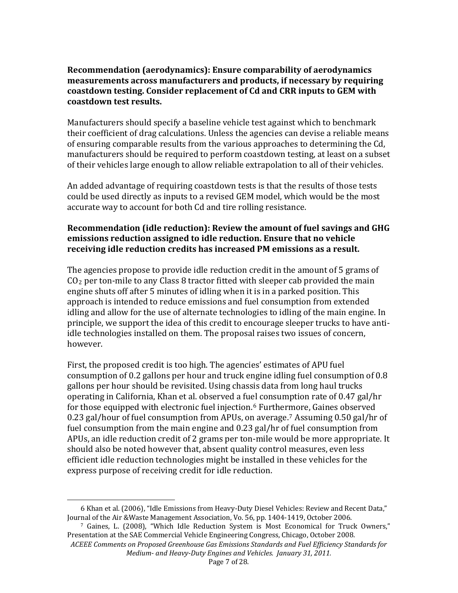#### **Recommendation (aerodynamics): Ensure comparability of aerodynamics measurements across manufacturers and products, if necessary by requiring coastdown testing. Consider replacement of Cd and CRR inputs to GEM with coastdown test results.**

Manufacturers should specify a baseline vehicle test against which to benchmark their coefficient of drag calculations. Unless the agencies can devise a reliable means of ensuring comparable results from the various approaches to determining the Cd, manufacturers should be required to perform coastdown testing, at least on a subset . of their vehicles large enough to allow reliable extrapolation to all of their vehicles

An added advantage of requiring coastdown tests is that the results of those tests could be used directly as inputs to a revised GEM model, which would be the most accurate way to account for both Cd and tire rolling resistance.

#### **Recommendation** (idle reduction): Review the amount of fuel savings and GHG **emissions reduction assigned to idle reduction. Ensure that no vehicle receiving idle reduction credits has increased PM emissions as a result.**

The agencies propose to provide idle reduction credit in the amount of 5 grams of  $CO<sub>2</sub>$  per ton-mile to any Class 8 tractor fitted with sleeper cab provided the main engine shuts off after 5 minutes of idling when it is in a parked position. This approach is intended to reduce emissions and fuel consumption from extended idling and allow for the use of alternate technologies to idling of the main engine. In principle, we support the idea of this credit to encourage sleeper trucks to have antiidle technologies installed on them. The proposal raises two issues of concern, however.

First, the proposed credit is too high. The agencies' estimates of APU fuel consumption of 0.2 gallons per hour and truck engine idling fuel consumption of 0.8 gallons per hour should be revisited. Using chassis data from long haul trucks operating in California, Khan et al. observed a fuel consumption rate of 0.47 gal/hr for those equipped with electronic fuel injection.[6](#page-6-0) Further[m](#page-6-1)ore, Gaines observed 0.23 gal/hour of fuel consumption from APUs, on average.7 Assuming 0.50 gal/hr of fuel consumption from the main engine and 0.23 gal/hr of fuel consumption from APUs, an idle reduction credit of 2 grams per ton‐mile would be more appropriate. It hould also be noted however that, absent quality control measures, even less s efficient idle reduction technologies might be installed in these vehicles for the xpress purpose of receiving credit for idle reduction. e

<span id="page-6-0"></span><sup>6</sup> Khan et al. (2006), "Idle Emissions from Heavy-Duty Diesel Vehicles: Review and Recent Data," Journal of the Air &Waste Management Association, Vo. 56, pp. 1404‐1419, October 2006.

<span id="page-6-1"></span><sup>7</sup> Gaines, L. (2008), "Which Idle Reduction System is Most Economical for Truck Owners," Presentation at the SAE Commercial Vehicle Engineering Congress, Chicago, October 2008.

*ACEEE Comments on Proposed Greenhouse Gas Emissions Standards and Fuel Efficiency Standards for Medium and HeavyDuty Engines and Vehicles. January 31, 2011.*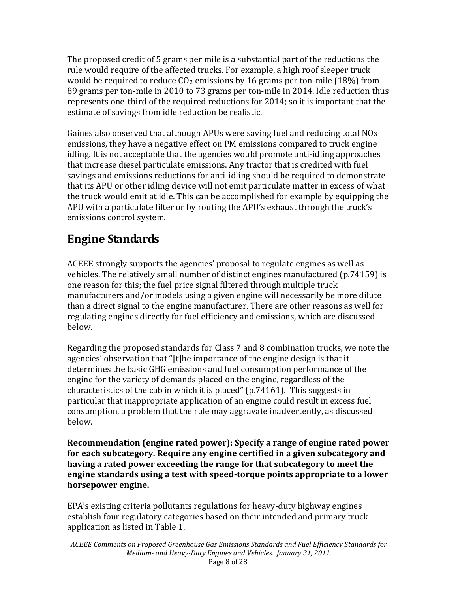The proposed credit of 5 grams per mile is a substantial part of the reductions the rule would require of the affected trucks. For example, a high roof sleeper truck would be required to reduce  $CO<sub>2</sub>$  emissions by 16 grams per ton-mile (18%) from 89 grams per ton-mile in 2010 to 73 grams per ton-mile in 2014. Idle reduction thus represents one‐third of the required reductions for 2014; so it is important that the estimate of savings from idle reduction be realistic.

Gaines also observed that although APUs were saving fuel and reducing total NOx emissions, they have a negative effect on PM emissions compared to truck engine idling. It is not acceptable that the agencies would promote anti-idling approaches that increase diesel particulate emissions. Any tractor that is credited with fuel savings and emissions reductions for anti‐idling should be required to demonstrate that its APU or other idling device will not emit particulate matter in excess of what the truck would emit at idle. This can be accomplished for example by equipping the APU with a particulate filter or by routing the APU's exhaust through the truck's emissions control system.

## **Engine Standards**

ACEEE strongly supports the agencies' proposal to regulate engines as well as vehicles. The relatively small number of distinct engines manufactured (p.74159) is one reason for this; the fuel price signal filtered through multiple truck manufacturers and/or models using a given engine will necessarily be more dilute than a direct signal to the engine manufacturer. There are other reasons as well for regulating engines directly for fuel efficiency and emissions, which are discussed below.

Regarding the proposed standards for Class 7 and 8 combination trucks, we note the agencies' observation that "[t]he importance of the engine design is that it determines the basic GHG emissions and fuel consumption performance of the engine for the variety of demands placed on the engine, regardless of the characteristics of the cab in which it is placed" (p.74161). This suggests in particular that inappropriate application of an engine could result in excess fuel consumption, a problem that the rule may aggravate inadvertently, as discussed below.

**horsepower engine. Recommendation (engine rated power): Specify a range of engine rated power for each subcategory. Require any engine certified in a given subcategory and having a rated power exceeding the range for that subcategory to meet the engine standards using a test with speedtorque points appropriate to a lower**

EPA's existing criteria pollutants regulations for heavy‐duty highway engines establish four regulatory categories based on their intended and primary truck application as listed in Table 1.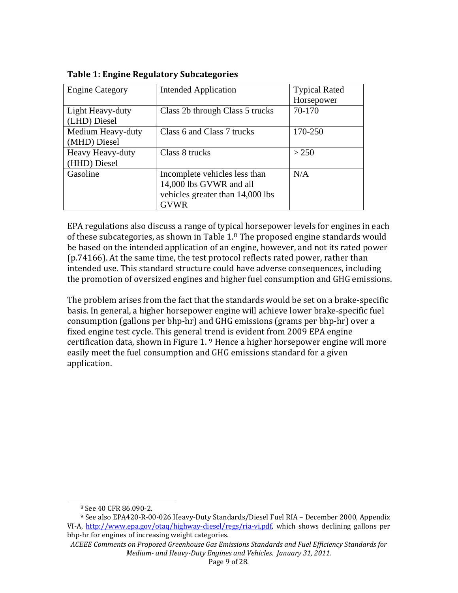| <b>Engine Category</b> | <b>Intended Application</b>      | <b>Typical Rated</b> |  |
|------------------------|----------------------------------|----------------------|--|
|                        |                                  | Horsepower           |  |
| Light Heavy-duty       | Class 2b through Class 5 trucks  | 70-170               |  |
| (LHD) Diesel           |                                  |                      |  |
| Medium Heavy-duty      | Class 6 and Class 7 trucks       | 170-250              |  |
| (MHD) Diesel           |                                  |                      |  |
| Heavy Heavy-duty       | Class 8 trucks                   | > 250                |  |
| (HHD) Diesel           |                                  |                      |  |
| Gasoline               | Incomplete vehicles less than    | N/A                  |  |
|                        | 14,000 lbs GVWR and all          |                      |  |
|                        | vehicles greater than 14,000 lbs |                      |  |
|                        | <b>GVWR</b>                      |                      |  |

**Table 1: Engine Regulatory Subcategories**

EPA regulations also discuss a range of typical horsepower levels for engines in each of these subcategories, as shown in Table 1.[8](#page-8-0) The proposed engine standards would be based on the intended application of an engine, however, and not its rated power (p.74166). At the same time, the test protocol reflects rated power, rather than ntended use. This standard structure could have adverse consequences, including i . the promotion of oversized engines and higher fuel consumption and GHG emissions

The problem arises from the fact that the standards would be set on a brake‐specific basis. In general, a higher horsepower engine will achieve lower brake‐specific fuel consumption (gallons per bhp‐hr) and GHG emissions (grams per bhp‐hr) over a fixed engine test cycle. This general t[re](#page-8-1)nd is evident from 2009 EPA engine certification data, shown in Figure 1. 9 Hence a higher horsepower engine will more easily meet the fuel consumption and GHG emissions standard for a given application.

 8 See 40 CFR 86.090‐2.

<span id="page-8-1"></span><span id="page-8-0"></span><sup>9</sup> See also EPA420‐R‐00‐026 Heavy‐Duty Standards/Diesel Fuel RIA – December 2000, Appendix VI-A, http://www.epa.gov/otaq/highway-diesel/regs/ria-vi.pdf, which shows declining gallons per bhp‐hr for engines of increasing weight categories.

*ACEEE Comments on Proposed Greenhouse Gas Emissions Standards and Fuel Efficiency Standards r fo Medium and HeavyDuty Engines and Vehicles. January 31, 2011.*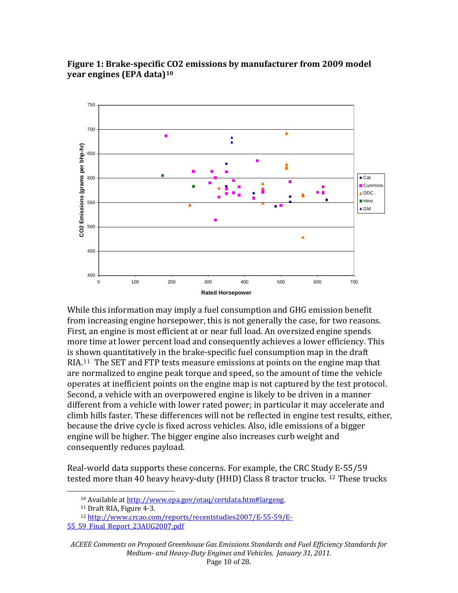

### **Figure 1: Brakespecific CO2 emissions by manufacturer from 2009 model year engines (EPA data)[10](#page-9-0)**

While this information may imply a fuel consumption and GHG emission benefit from increasing engine horsepower, this is not generally the case, for two reasons. First, an engine is most efficient at or near full load. An oversized engine spends more time at lower percent load and consequently achieves a lower efficiency. This is shown quantitatively in the brake‐specific fuel consumption map in the draft RIA.<sup>[11](#page-9-1)</sup> The SET and FTP tests measure emissions at points on the engine map that are normalized to engine peak torque and speed, so the amount of time the vehicle operates at inefficient points on the engine map is not captured by the test protocol. Second, a vehicle with an overpowered engine is likely to be driven in a manner different from a vehicle with lower rated power; in particular it may accelerate and climb hills faster. These differences will not be reflected in engine test results, either, because the drive cycle is fixed across vehicles. Also, idle emissions of a bigger engine will be higher. The bigger engine also increases curb weight and consequently reduces payload.

Real‐world data supports the se concerns. For example, the CRC Stud[y E](#page-9-2)‐55/59 tested more than 40 heavy heavy-duty (HHD) Class 8 tractor trucks. <sup>12</sup> These trucks

 10 Available at [http://www.epa.gov/otaq/certdata.htm#largeng.](http://www.crcao.com/reports/recentstudies2007/E-55-59/E-55_59_Final_Report_23AUG2007.pdf)

<sup>11</sup> Draft RIA, Figure 4‐3.

<sup>12</sup> [http://www.crcao.com/reports/recentstudies2007/E‐55‐59/E‐](http://www.crcao.com/reports/recentstudies2007/E-55-59/E-55_59_Final_Report_23AUG2007.pdf)

<span id="page-9-2"></span><span id="page-9-1"></span><span id="page-9-0"></span>[<sup>55</sup>\\_59\\_Final\\_Report\\_23AUG2007.pdf](http://www.crcao.com/reports/recentstudies2007/E-55-59/E-55_59_Final_Report_23AUG2007.pdf)

*ACEEE Comments on Proposed Greenhouse Gas Emissions Standards and Fuel Efficiency Standards for Medium and HeavyDuty Engines and Vehicles. January 31, 2011.*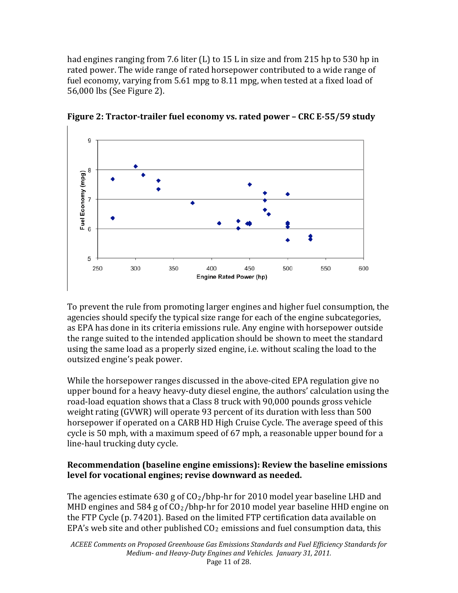had engines ranging from 7.6 liter (L) to 15 L in size and from 215 hp to 530 hp in rated power. The wide range of rated horsepower contributed to a wide range of fuel economy, varying from 5.61 mpg to 8.11 mpg, when tested at a fixed load of 6,000 lbs (See Figure 2). 5



**Figure 2: Tractortrailer fuel economy vs. rated power – CRC E55/59 study**

To prevent the rule from promoting larger engines and higher fuel consumption, the agencies should specify the typical size range for each of the engine subcategories, as EPA has done in its criteria emissions rule. Any engine with horsepower outside the range suited to the intended application should be shown to meet the standard using the same load as a properly sized engine, i.e. without scaling the load to the outsized engine's peak power.

While the horsepower ranges discussed in the above‐cited EPA regulation give no upper bound for a heavy heavy‐duty diesel engine, the authors' calculation using the road‐load equation shows that a Class 8 truck with 90,000 pounds gross vehicle weight rating (GVWR) will operate 93 percent of its duration with less than 500 horsepower if operated on a CARB HD High Cruise Cycle. The average speed of this cycle is 50 mph, with a maximum speed of 67 mph, a reasonable upper bound for a line‐haul trucking duty cycle.

### **Recommendation (baseline engine emissions): Review the baseline emissions level for vocational engines; revise downward as needed.**

The agencies estimate 630 g of  $CO_2/b$ hp-hr for 2010 model year baseline LHD and MHD engines and 584 g of  $CO<sub>2</sub>/b$ hp-hr for 2010 model year baseline HHD engine on the FTP Cycle (p. 74201). Based on the limited FTP certification data available on EPA's web site and other published  $CO<sub>2</sub>$  emissions and fuel consumption data, this

*ACEEE Comments on Proposed Greenhouse Gas Emissions Standards and Fuel Efficiency Standards fo r Medium and HeavyDuty Engines and Vehicles. January 31, 2011.*  Page 11 of 28.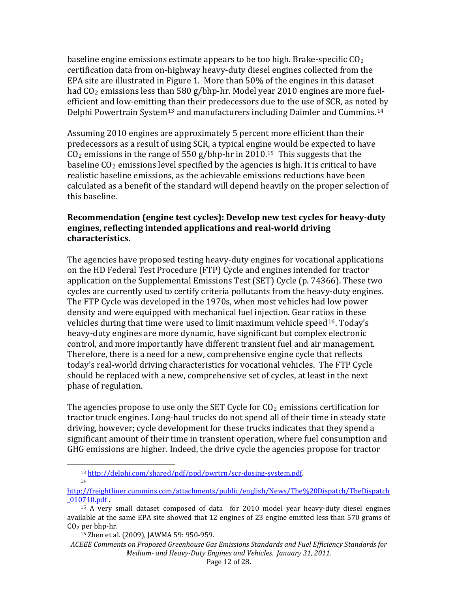baseline engine emissions estimate appears to be too high. Brake-specific  $CO<sub>2</sub>$ certification data from on‐highway heavy‐duty diesel engines collected from the EPA site are illustrated in Figure 1. More than 50% of the engines in this dataset had  $CO<sub>2</sub>$  emissions less than 580 g/bhp-hr. Model year 2010 engines are more fuelefficient and low-emitting [th](#page-11-1)an their predecessors due to the use of SCR, as note[d b](#page-11-0)y Delphi Powertrain System<sup>13</sup> and manufacturers including Daimler and Cummins.<sup>14</sup>

Assuming 2010 engines are approximately 5 percent more efficient than their predecessors as a result of using SCR, a typical engine would be expected to have CO 2 emissions in the range of 550 g/bhp‐hr in 2010.15 This suggests that the baseline  $CO<sub>2</sub>$  emissions level specified by the agenci[es](#page-11-1) is high. It is critical to have realistic baseline emissions, as the achievable emissions reductions have been calculated as a benefit of the standard will depend heavily on the proper selection of this baseline.

### **Recommendation (engine test cycles): Develop new test cycles for heavyduty engines, reflecting intended applications and realworld driving characteristics.**

The agencies have proposed testing heavy‐duty engines for vocational applications on the HD Federal Test Procedure (FTP) Cycle and engines intended for tractor application on the Supplemental Emissions Test (SET) Cycle (p. 74366). These two cycles are currently used to certify criteria pollutants from the heavy-duty engines. The FTP Cycle was developed in the 1970s, when most vehicles had low power density and were equipped with mechanical fuel injection. Gear ratios in these vehicles during that time were used to limit maximum vehicle speed  $16$ . Today's heavy‐duty engines are more dynamic, have significant but complex electronic control, and more importantly have different transient fuel and air management. Therefore, there is a need for a new, comprehensive engine cycle that reflects today's real‐world driving characteristics for vocational vehicles. The FTP Cycle should be replaced with a new, comprehensive set of cycles, at least in the next phase of regulation.

GHG emissions are higher. In deed, the drive cycle the agencies propose for tractor The agencies propose to use only the SET Cycle for  $CO<sub>2</sub>$  emissions certification for tractor truck engines. Long‐haul trucks do not spend all of their time in steady state driving, however; cycle development for these trucks indicates that they spend a significant amount of their time in transient operation, where fuel consumption and

 13 http://delphi.com/shared/pdf/ppd/pwrtrn/scr-dosing-system.pdf 14

<span id="page-11-0"></span>[http://freightliner.cummins.com/attachments/public/english/News/The%20Dispatc](http://freightliner.cummins.com/attachments/public/english/News/The%20Dispatch/TheDispatch_010710.pdf)h/TheDispatch \_010710.pdf .

<span id="page-11-1"></span> $15$  A very small dataset composed of data for 2010 model year heavy-duty diesel engines available at the same EPA site showed that 12 engines of 23 engine emitted less than 570 grams of  $CO<sub>2</sub>$  per bhp-hr.

<sup>16</sup> Zhen et al. (2009), JAWMA 59: 950‐959.

<span id="page-11-2"></span>*ACEEE Comments on Proposed Greenhouse Gas Emissions Standards and Fuel Efficiency Standards for Medium and HeavyDuty Eng ines and Vehicles. January 31, 2011.*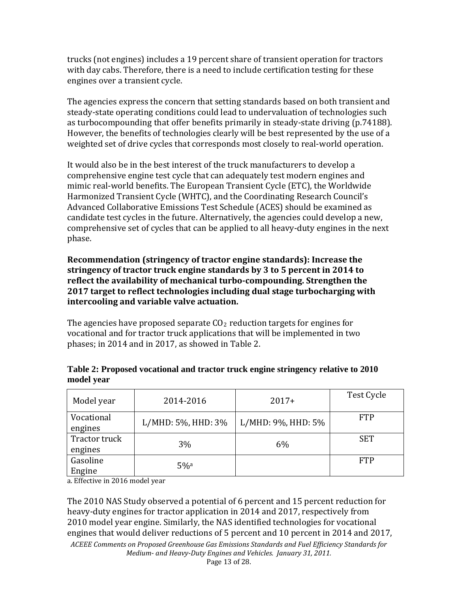trucks (not engines) includes a 19 percent share of transient operation for tractors with day cabs. Therefore, there is a need to include certification testing for these engines over a transient cycle.

The agencies express the concern that setting standards based on both transient and steady‐state operating conditions could lead to undervaluation of technologies such as turbocompounding that offer benefits primarily in steady‐state driving (p.74188). However, the benefits of technologies clearly will be best represented by the use of a weighted set of drive cycles that corresponds most closely to real-world operation.

It would also be in the best interest of the truck manufacturers to develop a comprehensive engine test cycle that can adequately test modern engines and mimic real‐world benefits. The European Transient Cycle (ETC), the Worldwide Harmonized Transient Cycle (WHTC), and the Coordinating Research Council's Advanced Collaborative Emissions Test Schedule (ACES) should be examined as candidate test cycles in the future. Alternatively, the agencies could develop a new, comprehensive set of cycles that can be applied to all heavy‐duty engines in the next phase.

**Recommendation (stringency of tractor engine standards): Increase the stringency of tractor truck engine standards by 3 to 5 percent in 2014 to reflect the availability of mechanical turbocompounding. Strengthen the 2017 target to reflect technologies including dual stage turbocharging with intercooling and variable valve actuation.**

The agencies have proposed separate  $CO<sub>2</sub>$  reduction targets for engines for vocational and for tractor truck applications that will be implemented in two hases; in 2014 and in 2017, as showed in Table 2. p

| Model year               | 2014-2016          | $2017+$            | Test Cycle |
|--------------------------|--------------------|--------------------|------------|
| Vocational<br>engines    | L/MHD: 5%, HHD: 3% | L/MHD: 9%, HHD: 5% | <b>FTP</b> |
| Tractor truck<br>engines | 3%                 | 6%                 | <b>SET</b> |
| Gasoline<br>Engine       | $5\%$ <sup>a</sup> |                    | <b>FTP</b> |

### **Table 2: Proposed vocational and tractor truck engine stringency relative to 2010 model year**

a. Effective in 2016 model year

The 2010 NAS Study observed a potential of 6 percent and 15 percent reduction for heavy‐duty engines for tractor application in 2014 and 2017, respectively from 2010 model year engine. Similarly, the NAS identified technologies for vocational engines that would deliver reductions of 5 percent and 10 percent in 2014 and 2017,

*ACEEE Comments on Proposed Greenhouse Gas Emissions Standards and Fuel Efficiency Standards for Medium and HeavyDuty Engines and Vehicles. January 31, 2011.*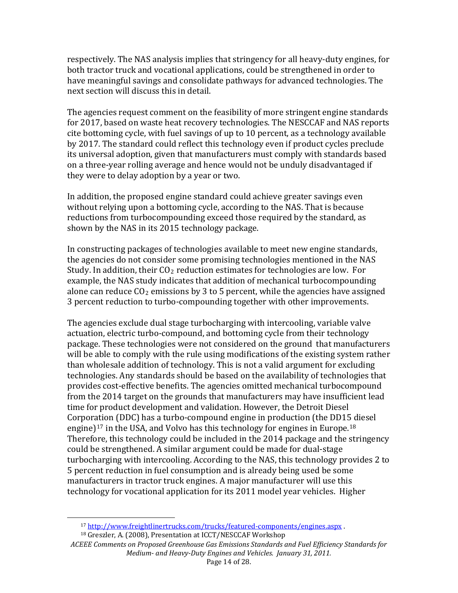respectively. The NAS analysis implies that stringency for all heavy-duty engines, for both tractor truck and vocational applications, could be strengthened in order to have meaningful savings and consolidate pathways for advanced technologies. The next section will discuss this in detail.

The agencies request comment on the feasibility of more stringent engine standards for 2017, based on waste heat recovery technologies. The NESCCAF and NAS reports cite bottoming cycle, with fuel savings of up to 10 percent, as a technology available by 2017. The standard could reflect this technology even if product cycles preclude its universal adoption, given that manufacturers must comply with standards based on a three‐year rolling average and hence would not be unduly disadvantaged if they were to delay adoption by a year or two.

In addition, the proposed engine standard could achieve greater savings even without relying upon a bottoming cycle, according to the NAS. That is because reductions from turbocompounding exceed those required by the standard, as shown by the NAS in its 2015 technology package.

In constructing packages of technologies available to meet new engine standards, the agencies do not consider some promising technologies mentioned in the NAS Study. In addition, their  $CO<sub>2</sub>$  reduction estimates for technologies are low. For example, the NAS study indicates that addition of mechanical turbocompounding alone can reduce  $CO<sub>2</sub>$  emissions by 3 to 5 percent, while the agencies have assigned 3 percent reduction to turbo‐compounding together with other improvements.

The agencies exclude dual stage turbocharging with intercooling, variable valve actuation, electric turbo‐compound, and bottoming cycle from their technology package. These technologies were not considered on the ground that manufacturers will be able to comply with the rule using modifications of the existing system rather than wholesale addition of technology. This is not a valid argument for excluding technologies. Any standards should be based on the availability of technologies that provides cost‐effective benefits. The agencies omitted mechanical turbocompound from the 2014 target on the grounds that manufacturers may have insufficient lead time for product development and validation. However, the Detroit Diesel Corpor[ati](#page-13-0)on (DDC) has a turbo‐compound engine in production (the DD1[5 d](#page-13-1)iesel engine)<sup>17</sup> in the USA, and Volvo has this technology for engines in Europe.<sup>18</sup> Therefore, this technology could be included in the 2014 package and the stringency could be strengthened. A similar argument could be made for dual‐stage turbocharging with intercooling. According to the NAS, this technology provides 2 to 5 percent reduction in fuel consumption and is already being used be some manufacturers in tractor truck engines. A major manufacturer will use this technology for vocational application for its 2011 model year vehicles. Higher

÷,

<sup>17</sup> http://www.freightlinertrucks.com/trucks/featured‐components/engines.asp[x .](http://www.freightlinertrucks.com/trucks/featured-components/engines.aspx) 

<sup>18</sup> Greszler, A. (2008), Presentation at ICCT/NESCCAF Workshop

<span id="page-13-1"></span><span id="page-13-0"></span>*EE Comments on Proposed Greenhouse Gas Emissions Standards a nd Fuel Efficiency S tandards for ACE Medium and HeavyDuty Engines and Vehicles. Jan uary 31, 2011.*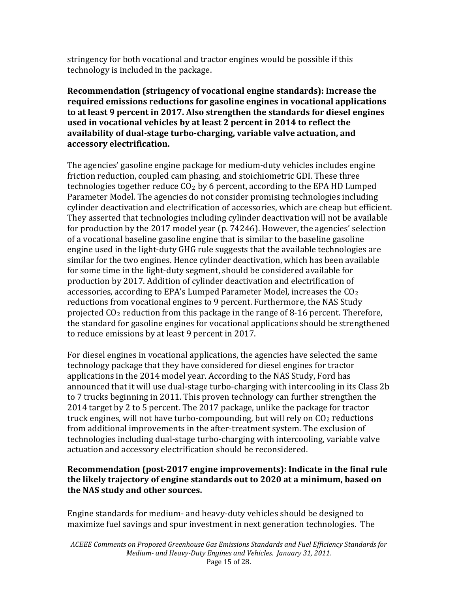s tringency for both vocational and tractor engines would be possible if this t echnology is included in the package.

**Recommendation (stringency of vocational engine standards): Increase the required emissions reductions for gasoline engines in vocational applications to at least 9 percent in 2017. Also strengthen the standards for diesel engines used in vocational vehicles by at least 2 percent in 2014 to reflect the availability of dualstage turbocharging, variable valve actuation, and accessory electrification.**

The agencies' gasoline engine package for medium‐duty vehicles includes engine friction reduction, coupled cam phasing, and stoichiometric GDI. These three technologies together reduce  $CO<sub>2</sub>$  by 6 percent, according to the EPA HD Lumped Parameter Model. The agencies do not consider promising technologies including cylinder deactivation and electrification of accessories, which are cheap but efficient. They asserted that technologies including cylinder deactivation will not be available for production by the 2017 model year (p. 74246). However, the agencies' selection of a vocational baseline gasoline engine that is similar to the baseline gasoline engine used in the light-duty GHG rule suggests that the available technologies are similar for the two engines. Hence cylinder deactivation, which has been available for some time in the light‐duty segment, should be considered available for production by 2017. Addition of cylinder deactivation and electrification of accessories, according to EPA's Lumped Parameter Model, increases the  $CO<sub>2</sub>$ reductions from vocational engines to 9 percent. Furthermore, the NAS Study projected  $CO<sub>2</sub>$  reduction from this package in the range of 8-16 percent. Therefore, the standard for gasoline engines for vocational applications should be strengthened to reduce emissions by at least 9 percent in 2017.

For diesel engines in vocational applications, the agencies have selected the same technology package that they have considered for diesel engines for tractor applications in the 2014 model year. According to the NAS Study, Ford has announced that it will use dual‐stage turbo‐charging with intercooling in its Class 2b to 7 trucks beginning in 2011. This proven technology can further strengthen the 2014 target by 2 to 5 percent. The 2017 package, unlike the package for tractor truck engines, will not have turbo-compounding, but will rely on  $CO<sub>2</sub>$  reductions from additional improvements in the after-treatment system. The exclusion of technologies including dual‐stage turbo‐charging with intercooling, variable valve actuation and accessory electrification should be reconsidered.

### **the NAS study and other sources. Recommendation (post2017 engine improvements): Indicate in the final rule the likely trajectory of engine standards out to 2020 at a minimum, based on**

Engine standards for medium‐ and heavy‐duty vehicles should be designed to maximize fuel savings and spur investment in next generation technologies. The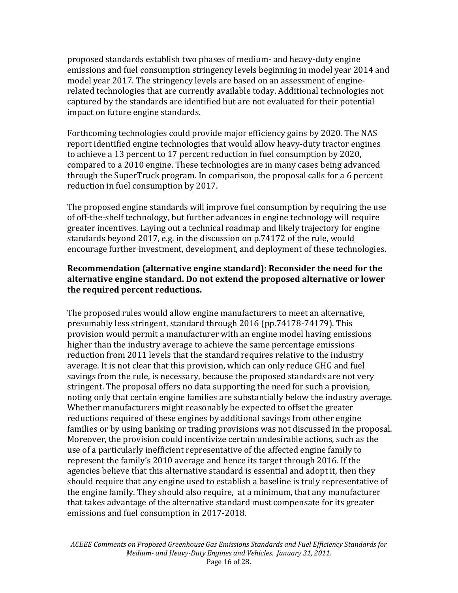proposed standards establish two phases of medium‐ and heavy‐duty engine emissions and fuel consumption stringency levels beginning in model year 2014 and model year 2017. The stringency levels are based on an assessment of engine‐ related technologies that are currently available today. Additional technologies not captured by the standards are identified but are not evaluated for their potential impact on future engine standards.

Forthcoming technologies could provide major efficiency gains by 2020. The NAS report identified engine technologies that would allow heavy‐duty tractor engines to achieve a 13 percent to 17 percent reduction in fuel consumption by 2020, compared to a 2010 engine. These technologies are in many cases being advanced through the SuperTruck program. In comparison, the proposal calls for a 6 percent reduction in fuel consumption by 2017.

The proposed engine standards will improve fuel consumption by requiring the use of off‐the‐shelf technology, but further advances in engine technology will require greater incentives. Laying out a technical roadmap and likely trajectory for engine standards beyond 2017, e.g. in the discussion on p.74172 of the rule, would encourage further investment, development, and deployment of these technologies.

### **Recommendation (alternative engine standard): Reconsider the need for the alternative engine standard. Do not extend the proposed alternative or lower the required percent reductions.**

The proposed rules would allow engine manufacturers to meet an alternative, presumably less stringent, standard through 2016 (pp.74178‐74179). This provision would permit a manufacturer with an engine model having emissions higher than the industry average to achieve the same percentage emissions reduction from 2011 levels that the standard requires relative to the industry average. It is not clear that this provision, which can only reduce GHG and fuel savings from the rule, is necessary, because the proposed standards are not very stringent. The proposal offers no data supporting the need for such a provision, noting only that certain engine families are substantially below the industry average. Whether manufacturers might reasonably be expected to offset the greater reductions required of these engines by additional savings from other engine families or by using banking or trading provisions was not discussed in the proposal. Moreover, the provision could incentivize certain undesirable actions, such as the use of a particularly inefficient representative of the affected engine family to represent the family's 2010 average and hence its target through 2016. If the agencies believe that this alternative standard is essential and adopt it, then they should require that any engine used to establish a baseline is truly representative of the engine family. They should also require, at a minimum, that any manufacturer hat takes advantage of the alternative standard must compensate for its greater t emissions and fuel consumption in 2017-2018.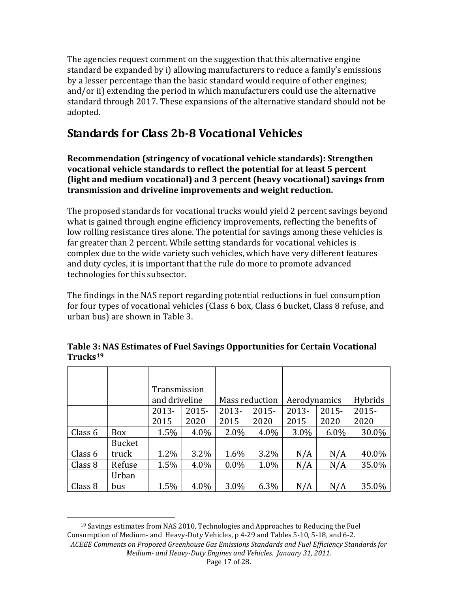The agencies request comment on the suggestion that this alternative engine standard be expanded by i) allowing manufacturers to reduce a family's emissions by a lesser percentage than the basic standard would require of other engines; and/or ii) extending the period in which manufacturers could use the alternative standard through 2017. These expansions of the alternative standard should not be adopted.

## **Standards for Class 2b8 Vocational Vehicles**

**Recommendation (stringency of vocational vehicle standards): Strengthen vocational vehicle standards to reflect the potential for at least 5 percent (light and medium vocational) and 3 percent (heavy vocational) savings from transmission and driveline improvements and weight reduction.** 

The proposed standards for vocational trucks would yield 2 percent savings beyond what is gained through engine efficiency improvements, reflecting the benefits of low rolling resistance tires alone. The potential for savings among these vehicles is far greater than 2 percent. While setting standards for vocational vehicles is complex due to the wide variety such vehicles, which have very different features and duty cycles, it is important that the rule do more to promote advanced technologies for this subsector.

The findings in the NAS report regarding potential reductions in fuel consumption for four types of vocational vehicles (Class 6 box, Class 6 bucket, Class 8 refuse, and urban bus) are shown in Table 3.

|         |               | Transmission  |         |                |          |              |          |         |
|---------|---------------|---------------|---------|----------------|----------|--------------|----------|---------|
|         |               | and driveline |         | Mass reduction |          | Aerodynamics |          | Hybrids |
|         |               | 2013-         | 2015-   | 2013-          | $2015 -$ | $2013 -$     | $2015 -$ | 2015-   |
|         |               | 2015          | 2020    | 2015           | 2020     | 2015         | 2020     | 2020    |
| Class 6 | <b>Box</b>    | 1.5%          | $4.0\%$ | 2.0%           | 4.0%     | 3.0%         | $6.0\%$  | 30.0%   |
|         | <b>Bucket</b> |               |         |                |          |              |          |         |
| Class 6 | truck         | 1.2%          | $3.2\%$ | 1.6%           | 3.2%     | N/A          | N/A      | 40.0%   |
| Class 8 | Refuse        | 1.5%          | 4.0%    | $0.0\%$        | 1.0%     | N/A          | N/A      | 35.0%   |
|         | Urban         |               |         |                |          |              |          |         |
| Class 8 | bus           | 1.5%          | 4.0%    | 3.0%           | 6.3%     | N/A          | N/A      | 35.0%   |

### **Table 3: NAS Estimates of Fuel Savings Opportunities for Certain Vocational Trucks[19](#page-16-0)**

<span id="page-16-0"></span>*ACEEE Comments on Proposed Greenhouse Gas Emissions Standards and Fuel Efficiency Stand ards for Medium and HeavyDuty Engines and Vehicles. January 31, 2011.*  19 Savings estimates from NAS 2010, Technologies and Approaches to Reducing the Fuel Consumption of Medium‐ and Heavy‐Duty Vehicles, p 4‐29 and Tables 5‐10, 5‐18, and 6‐2.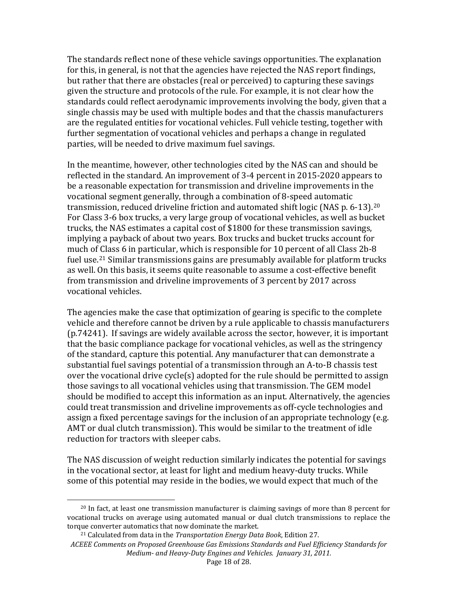The standards reflect none of these vehicle savings opportunities. The explanation for this, in general, is not that the agencies have rejected the NAS report findings, but rather that there are obstacles (real or perceived) to capturing these savings given the structure and protocols of the rule. For example, it is not clear how the standards could reflect aerodynamic improvements involving the body, given that a single chassis may be used with multiple bodes and that the chassis manufacturers are the regulated entities for vocational vehicles. Full vehicle testing, together with further segmentation of vocational vehicles and perhaps a change in regulated parties, will be needed to drive maximum fuel savings.

In the meantime, however, other technologies cited by the NAS can and should be reflected in the standard. An improvement of 3‐4 percent in 2015‐2020 appears to be a reasonable expectation for transmission and driveline improvements in the vocational segment generally, through a combination of 8‐speed automatic transmission, reduced driveline friction and automated shift logic (NAS p. 6‐13).[20](#page-17-0) For Class 3‐6 box trucks, a very large group of vocational vehicles, as well as bucket trucks, the NAS estimates a capital cost of \$1800 for these transmission savings, implying a payback of about two years. Box trucks and bucket trucks account for much of [Cl](#page-17-1)ass 6 in particular, which is responsible for 10 percent of all Class 2b‐8 fuel use.<sup>21</sup> Similar transmissions gains are presumably available for platform trucks as well. On this basis, it seems quite reasonable to assume a cost‐effective benefit from transmission and driveline improvements of 3 percent by 2017 across vocational vehicles.

The agencies make the case that optimization of gearing is specific to the complete vehicle and therefore cannot be driven by a rule applicable to chassis manufacturers (p.74241). If savings are widely available across the sector, however, it is important that the basic compliance package for vocational vehicles, as well as the stringency of the standard, capture this potential. Any manufacturer that can demonstrate a substantial fuel savings potential of a transmission through an A‐to‐B chassis test over the vocational drive cycle(s) adopted for the rule should be permitted to assign those savings to all vocational vehicles using that transmission. The GEM model should be modified to accept this information as an input. Alternatively, the agencies could treat transmission and driveline improvements as off‐cycle technologies and assign a fixed percentage savings for the inclusion of an appropriate technology (e.g. AMT or dual clutch transmission). This would be similar to the treatment of idle reduction for tractors with sleeper cabs.

some of this potential may re side in the bodies, we would expect that much of the The NAS discussion of weight reduction similarly indicates the potential for savings in the vocational sector, at least for light and medium heavy‐duty trucks. While

<span id="page-17-0"></span><sup>&</sup>lt;sup>20</sup> In fact, at least one transmission manufacturer is claiming savings of more than 8 percent for vocational trucks on average using automated manual or dual clutch transmissions to replace the torque converter automatics that now dominate the market.

<span id="page-17-1"></span>*ACE eenhouse Gas Emissions Sta EE Comments on Proposed Gr and Fuel Effi ndards ciency Standards for Medium-* and *Heavy-Duty Engines and Vehicles. January 31, 2011.* 21 Calculated from data in the *Transportation Energy Data Book*, Edition 27.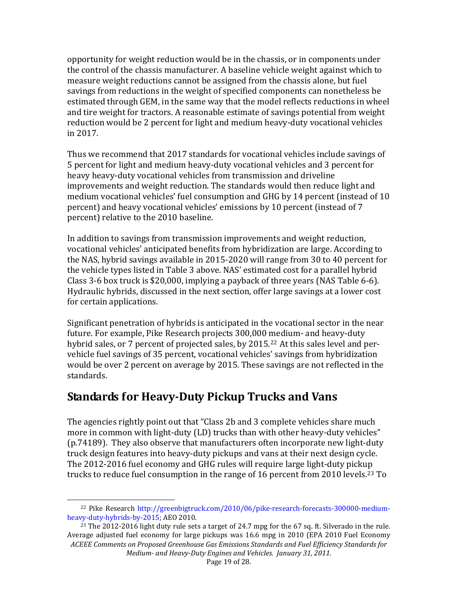opportunity for weight reduction would be in the chassis, or in components under the control of the chassis manufacturer. A baseline vehicle weight against which to measure weight reductions cannot be assigned from the chassis alone, but fuel savings from reductions in the weight of specified components can nonetheless be estimated through GEM, in the same way that the model reflects reductions in wheel and tire weight for tractors. A reasonable estimate of savings potential from weight reduction would be 2 percent for light and medium heavy‐duty vocational vehicles in 2017.

Thus we recommend that 2017 standards for vocational vehicles include savings of 5 percent for light and medium heavy‐duty vocational vehicles and 3 percent for heavy heavy‐duty vocational vehicles from transmission and driveline improvements and weight reduction. The standards would then reduce light and medium vocational vehicles' fuel consumption and GHG by 14 percent (instead of 10 percent) and heavy vocational vehicles' emissions by 10 percent (instead of 7 percent) relative to the 2010 baseline.

In addition to savings from transmission improvements and weight reduction, vocational vehicles' anticipated benefits from hybridization are large. According to the NAS, hybrid savings available in 2015‐2020 will range from 30 to 40 percent for the vehicle types listed in Table 3 above. NAS' estimated cost for a parallel hybrid Class 3‐6 box truck is \$20,000, implying a payback of three years (NAS Table 6‐6). Hydraulic hybrids, discussed in the next section, offer large savings at a lower cost for certain applications.

Significant penetration of hybrids is anticipated in the vocational sector in the near future. For example, Pike Research projects 300,000 [me](#page-18-0)dium‐ and heavy‐duty hybrid sales, or 7 percent of projected sales, by 2015.<sup>22</sup> At this sales level and pervehicle fuel savings of 35 percent, vocational vehicles' savings from hybridization would be over 2 percent on average by 2015. These savings are not reflected in the standards.

## **Standards for HeavyDuty Pickup Trucks and Vans**

The agencies rightly point out that "Class 2b and 3 complete vehicles share much more in common with light-duty (LD) trucks than with other heavy-duty vehicles" (p.74189). They also observe that manufacturers often incorporate new light‐duty truck design features into heavy‐duty pickups and vans at their next design cycle. The 2012‐2016 fuel economy and GHG rules will require large light‐duty pickup trucks to reduce fuel consumption in the range of 16 percent from 2010 levels.<sup>[23](#page-18-1)</sup> To

<span id="page-18-0"></span> <sup>22</sup> Pike Research http://greenbigtruck.com/2010/06/pike-research-forecasts-300000-mediumheavy‐duty‐hybrids‐by‐2015; AEO 2010.

<span id="page-18-1"></span>*ACEEE Comments on Proposed Greenhouse Gas Emissions Standards and Fuel Efficiency Standards for Medium and HeavyDuty Engines and Vehicles. January 31, 2011.*  <sup>23</sup> The 2012-2016 light duty rule sets a target of 24.7 mpg for the 67 sq. ft. Silverado in the rule. Average adjusted fuel economy for large pickups was 16.6 mpg in 2010 (EPA 2010 Fuel Economy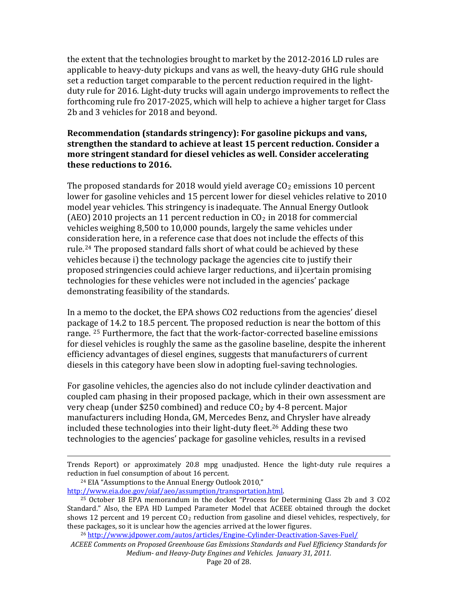the extent that the technologies brought to market by the 2012‐2016 LD rules are applicable to heavy‐duty pickups and vans as well, the heavy‐duty GHG rule should set a reduction target comparable to the percent reduction required in the light‐ duty rule for 2016. Light‐duty trucks will again undergo improvements to reflect the forthcoming rule fro 2017‐2025, which will help to achieve a higher target for Class 2b and 3 vehicles for 2018 and beyond.

### **Recommendation (standards stringency): For gasoline pickups and vans, strengthen the standard to achieve at least 15 percent reduction. Consider a more stringent standard for diesel vehicles as well. Consider accelerating these reductions to 2016.**

The proposed standards for 2018 would vield average  $CO<sub>2</sub>$  emissions 10 percent lower for gasoline vehicles and 15 percent lower for diesel vehicles relative to 2010 model year vehicles. This stringency is inadequate. The Annual Energy Outlook (AEO) 2010 projects an 11 percent reduction in  $CO<sub>2</sub>$  in 2018 for commercial vehicles weighing 8,500 to 10,000 pounds, largely the same vehicles under consideration here, in a reference case that does not include the effects of this rule.[24](#page-19-0) The proposed standard falls short of what could be achieved by these vehicles because i) the technology package the agencies cite to justify their proposed stringencies could achieve larger reductions, and ii)certain promising technologies for these vehicles were not included in the agencies' package demonstrating feasibility of the standards.

In a memo to the docket, the EPA shows CO2 reductions from the agencies' diesel package of 14.2 to 18.5 percent. The proposed reduction is near the bottom of this range. <sup>[25](#page-19-1)</sup> Furthermore, the fact that the work-factor-corrected baseline emissions for diesel vehicles is roughly the same as the gasoline baseline, despite the inherent efficiency advantages of diesel engines, suggests that manufacturers of current diesels in this category have been slow in adopting fuel‐saving technologies.

technologies to the agencies' package for gasoline vehicles, results in a revised For gasoline vehicles, the agencies also do not include cylinder deactivation and coupled cam phasing in their proposed package, which in their own assessment are very cheap (under \$250 combined) and reduce  $CO<sub>2</sub>$  by 4-8 percent. Major manufacturers including Honda, GM, Mercedes Benz, [an](#page-19-2)d Chrysler have already included these technologies into their light‐duty fleet.26 Adding these two

<u> 1989 - Andrea San Andrea San Andrea San Andrea San Andrea San Andrea San Andrea San Andrea San Andrea San An</u> Trends Report) or approximately 20.8 mpg unadjusted. Hence the light‐duty rule requires a reduction in fuel consumption of about 16 percent.

<span id="page-19-0"></span>24 EIA "Assumptions to the Annual Energy Outlook 2010," http://www.eia.doe.gov/oiaf/aeo/assumption/transportation.html.

<sup>26</sup> http://www.jdpower.com/autos/articles/Engine-Cylinder-Deactivation-Saves-Fuel/

<span id="page-19-1"></span><sup>&</sup>lt;sup>25</sup> October 18 EPA memorandum in the docket "Process for Determining Class 2b and 3 CO2 Standard." Also, the EPA HD Lumped Parameter Model that ACEEE obtained through the docket shows 12 percent and 19 percent  $CO<sub>2</sub>$  reduction from gasoline and diesel vehicles, respectively, for thes e packages, so it is unclear how the agencies arrived at the lower figures.

<span id="page-19-2"></span>*ACEEE Comments on Proposed Greenhouse Gas Emissions Standards and Fuel Efficiency Stand ards for Medium and HeavyDuty Engines and Vehicles. January 31, 2011.*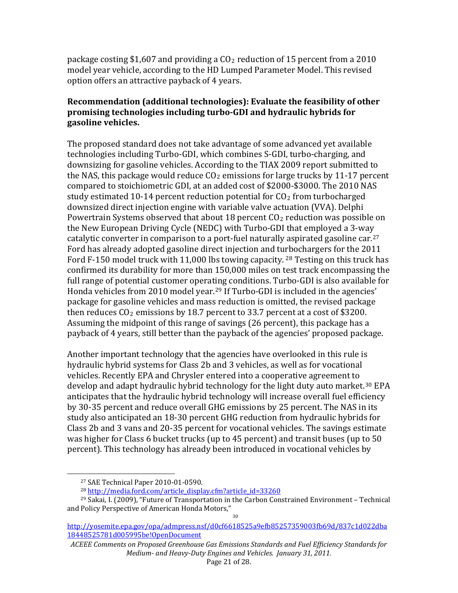package costing \$1,607 and providing a  $CO<sub>2</sub>$  reduction of 15 percent from a 2010 model year vehicle, according to the HD Lumped Parameter Model. This revised option offers an attractive payback of 4 years.

### **Recommendation (additional technologies): Evaluate the feasibility of other promising technologies including turboGDI and hydraulic hybrids for gasoline vehicles.**

The proposed standard does not take advantage of some advanced yet available technologies including Turbo‐GDI, which combines S‐GDI, turbo‐charging, and downsizing for gasoline vehicles. According to the TIAX 2009 report submitted to the NAS, this package would reduce  $CO<sub>2</sub>$  emissions for large trucks by 11-17 percent compared to stoichiometric GDI, at an added cost of \$2000‐\$3000. The 2010 NAS study estimated 10-14 percent reduction potential for  $CO<sub>2</sub>$  from turbocharged downsized direct injection engine with variable valve actuation (VVA). Delphi Powertrain Systems observed that about 18 percent  $CO<sub>2</sub>$  reduction was possible on the New European Driving Cycle (NEDC) with Turbo‐GDI that employed a 3‐way catalytic converter in comparison to a port-fuel naturally aspirated gasoline car.<sup>[27](#page-20-0)</sup> Ford has already adopted gasoline direct injection and tu[rb](#page-20-1)ochargers for the 2011 Ford F-150 model truck with 11,000 lbs towing capacity. <sup>28</sup> Testing on this truck has confirmed its durability for more than 150,000 miles on test track encompassing the full range of potential customer operat[in](#page-20-2)g conditions. Turbo‐GDI is also available for Honda vehicles from 2010 model year.<sup>29</sup> If Turbo-GDI is included in the agencies' package for gasoline vehicles and mass reduction is omitted, the revised package then reduces  $CO<sub>2</sub>$  emissions by 18.7 percent to 33.7 percent at a cost of \$3200. Assuming the midpoint of this range of savings (26 percent), this package has a payback of 4 years, still better than the payback of the agencies' proposed package.

percent). This technology ha s already been introduced in vocational vehicles by Another important technology that the agencies have overlooked in this rule is hydraulic hybrid systems for Class 2b and 3 vehicles, as well as for vocational vehicles. Recently EPA and Chrysler entered into a cooperative agreement to develop and adapt hydraulic hybrid technology for the light duty auto market.<sup>[30](#page-20-3)</sup> EPA anticipates that the hydraulic hybrid technology will increase overall fuel efficiency by 30‐35 percent and reduce overall GHG emissions by 25 percent. The NAS in its study also anticipated an 18‐30 percent GHG reduction from hydraulic hybrids for Class 2b and 3 vans and 20‐35 percent for vocational vehicles. The savings estimate was higher for Class 6 bucket trucks (up to 45 percent) and transit buses (up to 50

<span id="page-20-0"></span> $\overline{\phantom{0}}$ 

<sup>27</sup> SAE Technical Paper 2010‐01‐0590.

<sup>&</sup>lt;sup>28</sup> http://media.ford.com/article\_display.cfm?article\_id=33260

<span id="page-20-2"></span><span id="page-20-1"></span><sup>29</sup> Sakai, I. (2009), "Future of Transportation in the Carbon Constrained Environment – Technical and Policy Perspective of American Honda Motors,"

<span id="page-20-3"></span>[http://yosemite.epa.gov/opa/admpress.nsf/d0cf6618525a9efb85257359003fb69d/837c1d022dba](http://yosemite.epa.gov/opa/admpress.nsf/d0cf6618525a9efb85257359003fb69d/837c1d022dba18448525781d005995be!OpenDocument) 18448525781d005995be!OpenDocument

*ACEEE Comments on Proposed Greenhouse Gas Emissions Standards and Fuel Efficiency Standards for Medium and HeavyDuty Engines and Vehicles. January 31, 2011.*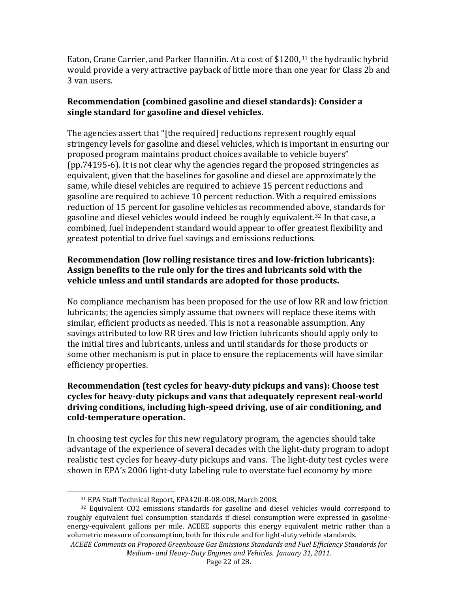Eaton, Crane Carrier, and Parker Hannifin. At a cost of \$1200,<sup>[31](#page-21-0)</sup> the hydraulic hybrid would provide a very attractive payback of little more than one year for Class 2b and 3 van users.

### **Recommendation (combined gasoline and diesel standards): Consider a single standard for gasoline and diesel vehicles.**

The agencies assert that "[the required] reductions represent roughly equal stringency levels for gasoline and diesel vehicles, which is important in ensuring our proposed program maintains product choices available to vehicle buyers" (pp.74195‐6). It is not clear why the agencies regard the proposed stringencies as equivalent, given that the baselines for gasoline and diesel are approximately the same, while diesel vehicles are required to achieve 15 percent reductions and gasoline are required to achieve 10 percent reduction. With a required emissions reduction of 15 percent for gasoline vehicles as recommended a[bov](#page-21-1)e, standards for gasoline and diesel vehicles would indeed be roughly equivalent. 32 In that case, a ombined, fuel independent standard would appear to offer greatest flexibility and c greatest potential to drive fuel savings and emissions reductions.

### **Recommendation (low rolling resistance tires and lowfriction lubricants): Assign benefits to the rule only for the tires and lubricants sold with the vehicle unless and until standards are adopted for those products.**

No compliance mechanism has been proposed for the use of low RR and low friction lubricants; the agencies simply assume that owners will replace these items with similar, efficient products as needed. This is not a reasonable assumption. Any savings attributed to low RR tires and low friction lubricants should apply only to the initial tires and lubricants, unless and until standards for those products or some other mechanism is put in place to ensure the replacements will have similar efficiency properties.

### **Recommendation (test cycles for heavyduty pickups and vans): Choose test cycles for heavyduty pickups and vans that adequately represent realworld driving conditions, including highspeed driving, use of air conditioning, and coldtemperature operation.**

shown in EPA's 2006 light-duty labeling rule to overstate fuel economy by more In choosing test cycles for this new regulatory program, the agencies should take advantage of the experience of several decades with the light‐duty program to adopt realistic test cycles for heavy-duty pickups and vans. The light-duty test cycles were

 ÷, 31 EPA Staff Technical Report, EPA420‐R‐08‐008, March 2008.

<span id="page-21-1"></span><span id="page-21-0"></span> $32$  Equivalent CO2 emissions standards for gasoline and diesel vehicles would correspond to roughly equivalent fuel consumption standards if diesel consumption were expressed in gasolineenergy-equivalent gallons per mile. ACEEE supports this energy equivalent metric rather than a volumetric measure of consumption, both for this rule and for light-duty vehicle standards.

*ACEEE Comments on Proposed Greenhouse Gas Emissions Standards and Fuel Efficiency Standards for Medium and HeavyDuty Engines and Vehicles. January 31, 2011.*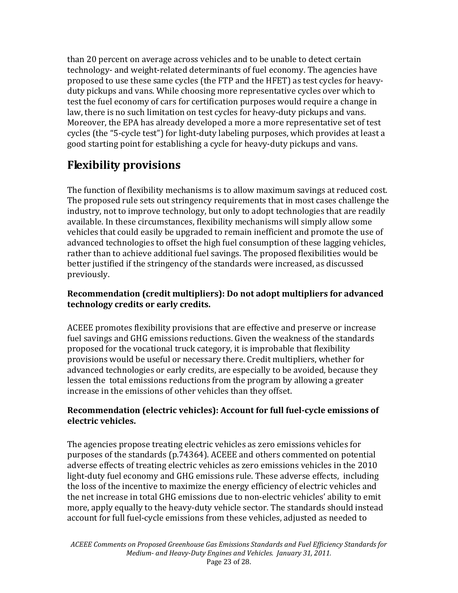than 20 percent on average across vehicles and to be unable to detect certain technology‐ and weight‐related determinants of fuel economy. The agencies have proposed to use these same cycles (the FTP and the HFET) as test cycles for heavy‐ duty pickups and vans. While choosing more representative cycles over which to test the fuel economy of cars for certification purposes would require a change in law, there is no such limitation on test cycles for heavy-duty pickups and vans. Moreover, the EPA has already developed a more a more representative set of test cycles (the "5‐cycle test") for light‐duty labeling purposes, which provides at least a good starting point for establishing a cycle for heavy‐duty pickups and vans.

# **Flexibility provisions**

The function of flexibility mechanisms is to allow maximum savings at reduced cost. The proposed rule sets out stringency requirements that in most cases challenge the industry, not to improve technology, but only to adopt technologies that are readily available. In these circumstances, flexibility mechanisms will simply allow some vehicles that could easily be upgraded to remain inefficient and promote the use of advanced technologies to offset the high fuel consumption of these lagging vehicles, rather than to achieve additional fuel savings. The proposed flexibilities would be better justified if the stringency of the standards were increased, as discussed previously.

### **Recommendation (credit multipliers): Do not adopt multipliers for advanced technology credits or early credits.**

ACEEE promotes flexibility provisions that are effective and preserve or increase fuel savings and GHG emissions reductions. Given the weakness of the standards proposed for the vocational truck category, it is improbable that flexibility provisions would be useful or necessary there. Credit multipliers, whether for advanced technologies or early credits, are especially to be avoided, because they lessen the total emissions reductions from the program by allowing a greater increase in the emissions of other vehicles than they offset.

### **Recommendation (electric vehicles): Account for full fuelcycle emissions of electric vehicles.**

The agencies propose treating electric vehicles as zero emissions vehicles for purposes of the standards (p.74364). ACEEE and others commented on potential adverse effects of treating electric vehicles as zero emissions vehicles in the 2010 light-duty fuel economy and GHG emissions rule. These adverse effects, including the loss of the incentive to maximize the energy efficiency of electric vehicles and the net increase in total GHG emissions due to non‐electric vehicles' ability to emit more, apply equally to the heavy-duty vehicle sector. The standards should instead account for full fuel‐cycle emissions from these vehicles, adjusted as needed to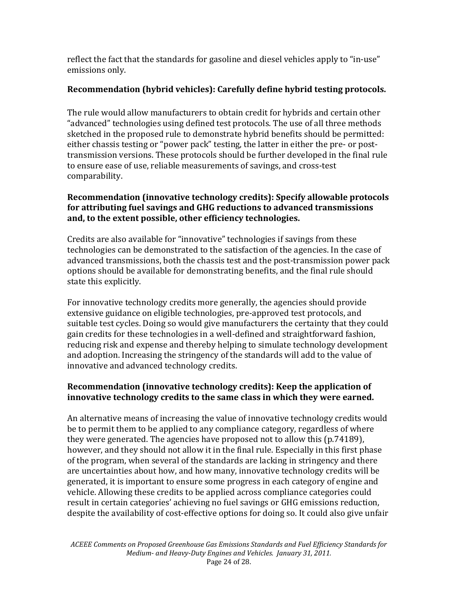reflect the fact that the standards for gasoline and diesel vehicles apply to "in‐use" emissions only.

### **Recommendation (hybrid vehicles): Carefully define hybrid testing protocols .**

The rule would allow manufacturers to obtain credit for hybrids and certain other "advanced" technologies using defined test protocols. The use of all three methods sketched in the proposed rule to demonstrate hybrid benefits should be permitted: either chassis testing or "power pack" testing, the latter in either the pre‐ or post‐ transmission versions. These protocols should be further developed in the final rule to ensure ease of use, reliable measurements of savings, and cross‐test comparability.

### **Recommendation (innovative technology credits): Specify allowable protocols for attributing fuel savings and GHG reductions to advanced transmissions and, to the extent possible, other efficiency technologies.**

Credits are also available for "innovative" technologies if savings from these technologies can be demonstrated to the satisfaction of the agencies. In the case of advanced transmissions, both the chassis test and the post‐transmission power pack options should be available for demonstrating benefits, and the final rule should state this explicitly.

For innovative technology credits more generally, the agencies should provide extensive guidance on eligible technologies, pre‐approved test protocols, and suitable test cycles. Doing so would give manufacturers the certainty that they could gain credits for these technologies in a well‐defined and straightforward fashion, reducing risk and expense and thereby helping to simulate technology development and adoption. Increasing the stringency of the standards will add to the value of nnovative and advanced technology credits. i

### **Recommendation (innovative technology credits): Keep the application of innovative technology credits to the same class in which they were earned.**

An alternative means of increasing the value of innovative technology credits would be to permit them to be applied to any compliance category, regardless of where they were generated. The agencies have proposed not to allow this (p.74189), however, and they should not allow it in the final rule. Especially in this first phase of the program, when several of the standards are lacking in stringency and there are uncertainties about how, and how many, innovative technology credits will be generated, it is important to ensure some progress in each category of engine and vehicle. Allowing these credits to be applied across compliance categories could result in certain categories' achieving no fuel savings or GHG emissions reduction, despite the availability of cost‐effective options for doing so. It could also give unfair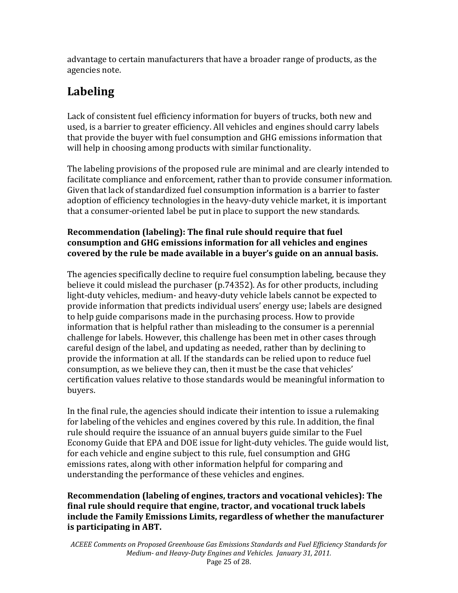advantage to certain manufacturers that have a broader range of products, as the agencies note.

# **Labeling**

Lack of consistent fuel efficiency information for buyers of trucks, both new and used, is a barrier to greater efficiency. All vehicles and engines should carry labels that provide the buyer with fuel consumption and GHG emissions information that will help in choosing among products with similar functionality.

The labeling provisions of the proposed rule are minimal and are clearly intended to facilitate compliance and enforcement, rather than to provide consumer information. Given that lack of standardized fuel consumption information is a barrier to faster adoption of efficiency technologies in the heavy-duty vehicle market, it is important that a consumer-oriented label be put in place to support the new standards.

### **Recommendation (labeling): The final rule should require that fuel consumption and GHG emissions information for all vehicles and engines covered by the rule be made available in a buyer's guide on an annual basis.**

The agencies specifically decline to require fuel consumption labeling, because they believe it could mislead the purchaser (p.74352). As for other products, including light-duty vehicles, medium- and heavy-duty vehicle labels cannot be expected to provide information that predicts individual users' energy use; labels are designed to help guide comparisons made in the purchasing process. How to provide information that is helpful rather than misleading to the consumer is a perennial challenge for labels. However, this challenge has been met in other cases through careful design of the label, and updating as needed, rather than by declining to provide the information at all. If the standards can be relied upon to reduce fuel consumption, as we believe they can, then it must be the case that vehicles' certification values relative to those standards would be meaningful information to buyers.

In the final rule, the agencies should indicate their intention to issue a rulemaking for labeling of the vehicles and engines covered by this rule. In addition, the final rule should require the issuance of an annual buyers guide similar to the Fuel Economy Guide that EPA and DOE issue for light‐duty vehicles. The guide would list, for each vehicle and engine subject to this rule, fuel consumption and GHG emissions rates, along with other information helpful for comparing and understanding the performance of these vehicles and engines.

### **Recommendation (labeling of engines, tractors and vocational vehicles): The final rule should require that engine, tractor, and vocational truck labels include the Family Emissions Limits, regardless of whether the manufacturer is participating in ABT.**

*ACEEE Comments on Proposed Greenhouse Gas Emissions Standards and Fuel Efficiency Standards for Medium and HeavyDuty Engines and Vehicles. January 31, 2011.*  Page 25 of 28.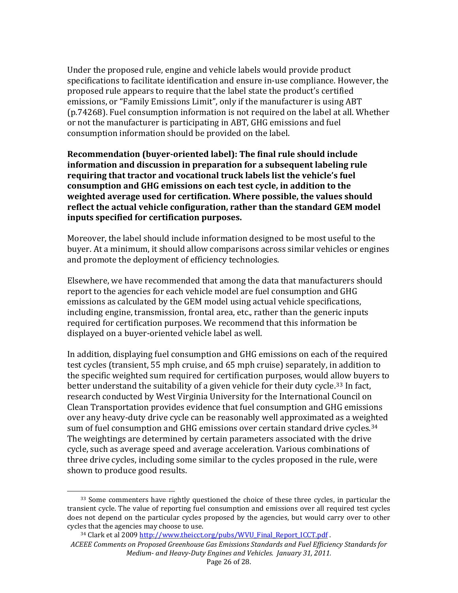Under the proposed rule, engine and vehicle labels would provide product specifications to facilitate identification and ensure in‐use compliance. However, the proposed rule appears to require that the label state the product's certified emissions, or "Family Emissions Limit", only if the manufacturer is using ABT (p.74268). Fuel consumption information is not required on the label at all. Whether or not the manufacturer is participating in ABT, GHG emissions and fuel consumption information should be provided on the label.

**Recommendation (buyeroriented label): The final rule should include information and discussion in preparation for a subsequent labeling rule requiring that tractor and vocational truck labels list the vehicle's fuel consumption and GHG emissions on each test cycle, in addition to the weighted average used for certification. Where possible, the values should reflect the actual vehicle configuration, rather than the standard GEM model inputs specified for certification purposes.** 

Moreover, the label should include information designed to be most useful to the buyer. At a minimum, it should allow comparisons across similar vehicles or engines and promote the deployment of efficiency technologies.

Elsewhere, we have recommended that among the data that manufacturers should report to the agencies for each vehicle model are fuel consumption and GHG emissions as calculated by the GEM model using actual vehicle specifications, including engine, transmission, frontal area, etc., rather than the generic inputs required for certification purposes. We recommend that this information be displayed on a buyer‐oriented vehicle label as well.

shown to produce good results. In addition, displaying fuel consumption and GHG emissions on each of the required test cycles (transient, 55 mph cruise, and 65 mph cruise) separately, in addition to the specific weighted sum required for certification purposes, would allow buyers to better understand the suitability of a given vehicle for their duty cycle.<sup>[33](#page-25-0)</sup> In fact, research conducted by West Virginia University for the International Council on Clean Transportation provides evidence that fuel consumption and GHG emissions over any heavy‐duty drive cycle can be reasonably well approximated as a weig[ht](#page-25-1)ed sum of fuel consumption and GHG emissions over certain standard drive cycles.<sup>34</sup> The weightings are determined by certain parameters associated with the drive cycle, such as average speed and average acceleration. Various combinations of three drive cycles, including some similar to the cycles proposed in the rule, were

<span id="page-25-0"></span><sup>&</sup>lt;sup>33</sup> Some commenters have rightly questioned the choice of these three cycles, in particular the transient cycle. The value of reporting fuel consumption and emissions over all required test cycles does not depend on the particular cycles proposed by the agencies, but would carry over to other cycle s that the agencies may choose to use.

<span id="page-25-1"></span>*ACE EE Comments on Proposed Greenhouse Gas Emissions Standards and Fuel Efficie ncy Standards for Medium and HeavyDuty Engines and Vehicles. January 31, 2011.*  <sup>34</sup> Clark et al 2009 [http://www.theicct.org/pubs/WVU\\_Final\\_Report\\_ICCT.pdf](http://www.theicct.org/pubs/WVU_Final_Report_ICCT.pdf) .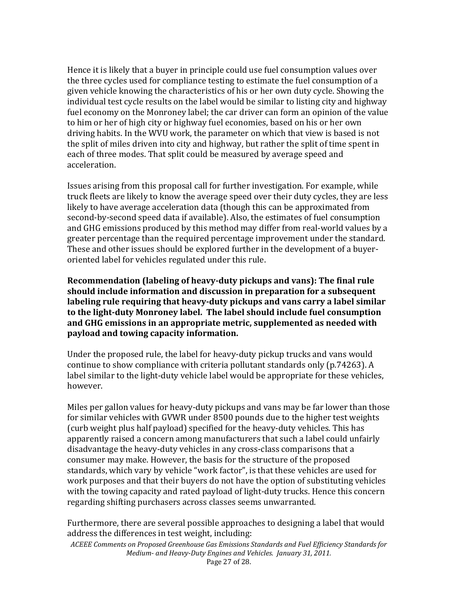Hence it is likely that a buyer in principle could use fuel consumption values over the three cycles used for compliance testing to estimate the fuel consumption of a given vehicle knowing the characteristics of his or her own duty cycle. Showing the individual test cycle results on the label would be similar to listing city and highway fuel economy on the Monroney label; the car driver can form an opinion of the value to him or her of high city or highway fuel economies, based on his or her own driving habits. In the WVU work, the parameter on which that view is based is not the split of miles driven into city and highway, but rather the split of time spent in each of three modes. That split could be measured by average speed and acceleration.

Issues arising from this proposal call for further investigation. For example, while truck fleets are likely to know the average speed over their duty cycles, they are less likely to have average acceleration data (though this can be approximated from second-by-second speed data if available). Also, the estimates of fuel consumption and GHG emissions produced by this method may differ from real‐world values by a greater percentage than the required percentage improvement under the standard. These and other issues should be explored further in the development of a buyer‐ oriented label for vehicles regulated under this rule.

**Recommendation (labeling of heavyduty pickups and vans): The final rule should include information and discussion in preparation for a subsequent labeling rule requiring that heavyduty pickups and vans carry a label similar to the lightduty Monroney label. The label should include fuel consumption and GHG emissions in an appropriate metric, supplemented as needed with payload and towing capacity information.** 

Under the proposed rule, the label for heavy‐duty pickup trucks and vans would continue to show compliance with criteria pollutant standards only (p.74263). A label similar to the light‐duty vehicle label would be appropriate for these vehicles, however.

regarding shifting purchasers across classes seems unwarranted. Miles per gallon values for heavy‐duty pickups and vans may be far lower than those for similar vehicles with GVWR under 8500 pounds due to the higher test weights (curb weight plus half payload) specified for the heavy‐duty vehicles. This has apparently raised a concern among manufacturers that such a label could unfairly disadvantage the heavy‐duty vehicles in any cross‐class comparisons that a consumer may make. However, the basis for the structure of the proposed standards, which vary by vehicle "work factor", is that these vehicles are used for work purposes and that their buyers do not have the option of substituting vehicles with the towing capacity and rated payload of light-duty trucks. Hence this concern

Furthermore, there are several possible approaches to designing a label that would address the differences in test weight, including:

*ACEEE Comments on Proposed Greenhouse Gas Emissions Standards and Fuel Efficiency Standards for Medium and HeavyDuty Engines and Ve hicles. January 31, 2011.*